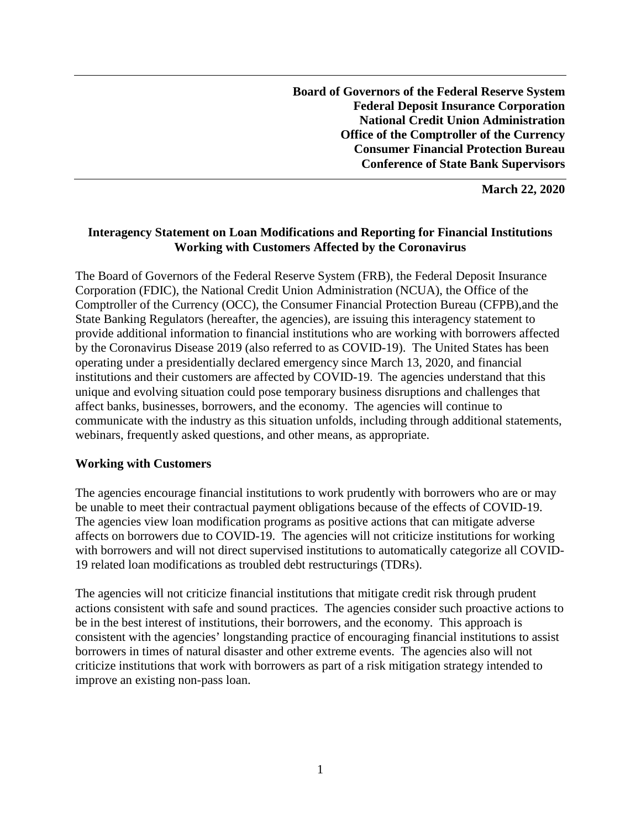**Board of Governors of the Federal Reserve System Federal Deposit Insurance Corporation National Credit Union Administration Office of the Comptroller of the Currency Consumer Financial Protection Bureau Conference of State Bank Supervisors**

**March 22, 2020**

### **Interagency Statement on Loan Modifications and Reporting for Financial Institutions Working with Customers Affected by the Coronavirus**

The Board of Governors of the Federal Reserve System (FRB), the Federal Deposit Insurance Corporation (FDIC), the National Credit Union Administration (NCUA), the Office of the Comptroller of the Currency (OCC), the Consumer Financial Protection Bureau (CFPB),and the State Banking Regulators (hereafter, the agencies), are issuing this interagency statement to provide additional information to financial institutions who are working with borrowers affected by the Coronavirus Disease 2019 (also referred to as COVID-19). The United States has been operating under a presidentially declared emergency since March 13, 2020, and financial institutions and their customers are affected by COVID-19. The agencies understand that this unique and evolving situation could pose temporary business disruptions and challenges that affect banks, businesses, borrowers, and the economy. The agencies will continue to communicate with the industry as this situation unfolds, including through additional statements, webinars, frequently asked questions, and other means, as appropriate.

#### **Working with Customers**

The agencies encourage financial institutions to work prudently with borrowers who are or may be unable to meet their contractual payment obligations because of the effects of COVID-19. The agencies view loan modification programs as positive actions that can mitigate adverse affects on borrowers due to COVID-19. The agencies will not criticize institutions for working with borrowers and will not direct supervised institutions to automatically categorize all COVID-19 related loan modifications as troubled debt restructurings (TDRs).

The agencies will not criticize financial institutions that mitigate credit risk through prudent actions consistent with safe and sound practices. The agencies consider such proactive actions to be in the best interest of institutions, their borrowers, and the economy. This approach is consistent with the agencies' longstanding practice of encouraging financial institutions to assist borrowers in times of natural disaster and other extreme events. The agencies also will not criticize institutions that work with borrowers as part of a risk mitigation strategy intended to improve an existing non-pass loan.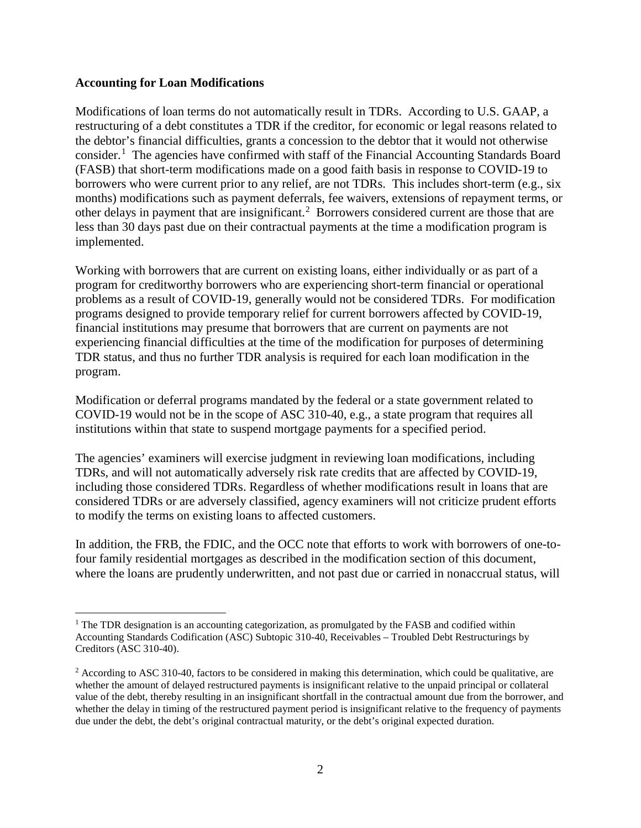#### **Accounting for Loan Modifications**

 $\overline{\phantom{a}}$ 

Modifications of loan terms do not automatically result in TDRs. According to U.S. GAAP, a restructuring of a debt constitutes a TDR if the creditor, for economic or legal reasons related to the debtor's financial difficulties, grants a concession to the debtor that it would not otherwise consider.<sup>[1](#page-1-0)</sup> The agencies have confirmed with staff of the Financial Accounting Standards Board (FASB) that short-term modifications made on a good faith basis in response to COVID-19 to borrowers who were current prior to any relief, are not TDRs. This includes short-term (e.g., six months) modifications such as payment deferrals, fee waivers, extensions of repayment terms, or other delays in payment that are insignificant.[2](#page-1-1) Borrowers considered current are those that are less than 30 days past due on their contractual payments at the time a modification program is implemented.

Working with borrowers that are current on existing loans, either individually or as part of a program for creditworthy borrowers who are experiencing short-term financial or operational problems as a result of COVID-19, generally would not be considered TDRs. For modification programs designed to provide temporary relief for current borrowers affected by COVID-19, financial institutions may presume that borrowers that are current on payments are not experiencing financial difficulties at the time of the modification for purposes of determining TDR status, and thus no further TDR analysis is required for each loan modification in the program.

Modification or deferral programs mandated by the federal or a state government related to COVID-19 would not be in the scope of ASC 310-40, e.g., a state program that requires all institutions within that state to suspend mortgage payments for a specified period.

The agencies' examiners will exercise judgment in reviewing loan modifications, including TDRs, and will not automatically adversely risk rate credits that are affected by COVID-19, including those considered TDRs. Regardless of whether modifications result in loans that are considered TDRs or are adversely classified, agency examiners will not criticize prudent efforts to modify the terms on existing loans to affected customers.

In addition, the FRB, the FDIC, and the OCC note that efforts to work with borrowers of one-tofour family residential mortgages as described in the modification section of this document, where the loans are prudently underwritten, and not past due or carried in nonaccrual status, will

<span id="page-1-0"></span> $<sup>1</sup>$  The TDR designation is an accounting categorization, as promulgated by the FASB and codified within</sup> Accounting Standards Codification (ASC) Subtopic 310-40, Receivables – Troubled Debt Restructurings by Creditors (ASC 310-40).

<span id="page-1-1"></span> $2$  According to ASC 310-40, factors to be considered in making this determination, which could be qualitative, are whether the amount of delayed restructured payments is insignificant relative to the unpaid principal or collateral value of the debt, thereby resulting in an insignificant shortfall in the contractual amount due from the borrower, and whether the delay in timing of the restructured payment period is insignificant relative to the frequency of payments due under the debt, the debt's original contractual maturity, or the debt's original expected duration.